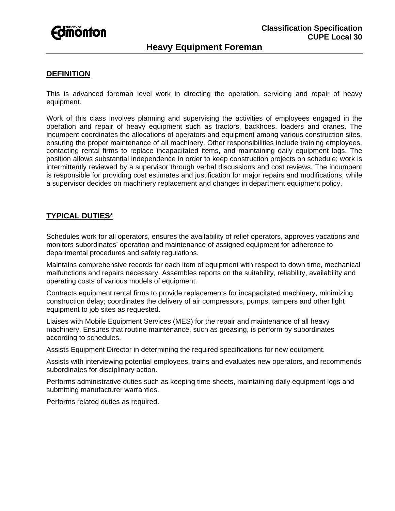

## **DEFINITION**

This is advanced foreman level work in directing the operation, servicing and repair of heavy equipment.

Work of this class involves planning and supervising the activities of employees engaged in the operation and repair of heavy equipment such as tractors, backhoes, loaders and cranes. The incumbent coordinates the allocations of operators and equipment among various construction sites, ensuring the proper maintenance of all machinery. Other responsibilities include training employees, contacting rental firms to replace incapacitated items, and maintaining daily equipment logs. The position allows substantial independence in order to keep construction projects on schedule; work is intermittently reviewed by a supervisor through verbal discussions and cost reviews. The incumbent is responsible for providing cost estimates and justification for major repairs and modifications, while a supervisor decides on machinery replacement and changes in department equipment policy.

# **TYPICAL DUTIES**\*

Schedules work for all operators, ensures the availability of relief operators, approves vacations and monitors subordinates' operation and maintenance of assigned equipment for adherence to departmental procedures and safety regulations.

Maintains comprehensive records for each item of equipment with respect to down time, mechanical malfunctions and repairs necessary. Assembles reports on the suitability, reliability, availability and operating costs of various models of equipment.

Contracts equipment rental firms to provide replacements for incapacitated machinery, minimizing construction delay; coordinates the delivery of air compressors, pumps, tampers and other light equipment to job sites as requested.

Liaises with Mobile Equipment Services (MES) for the repair and maintenance of all heavy machinery. Ensures that routine maintenance, such as greasing, is perform by subordinates according to schedules.

Assists Equipment Director in determining the required specifications for new equipment.

Assists with interviewing potential employees, trains and evaluates new operators, and recommends subordinates for disciplinary action.

Performs administrative duties such as keeping time sheets, maintaining daily equipment logs and submitting manufacturer warranties.

Performs related duties as required.